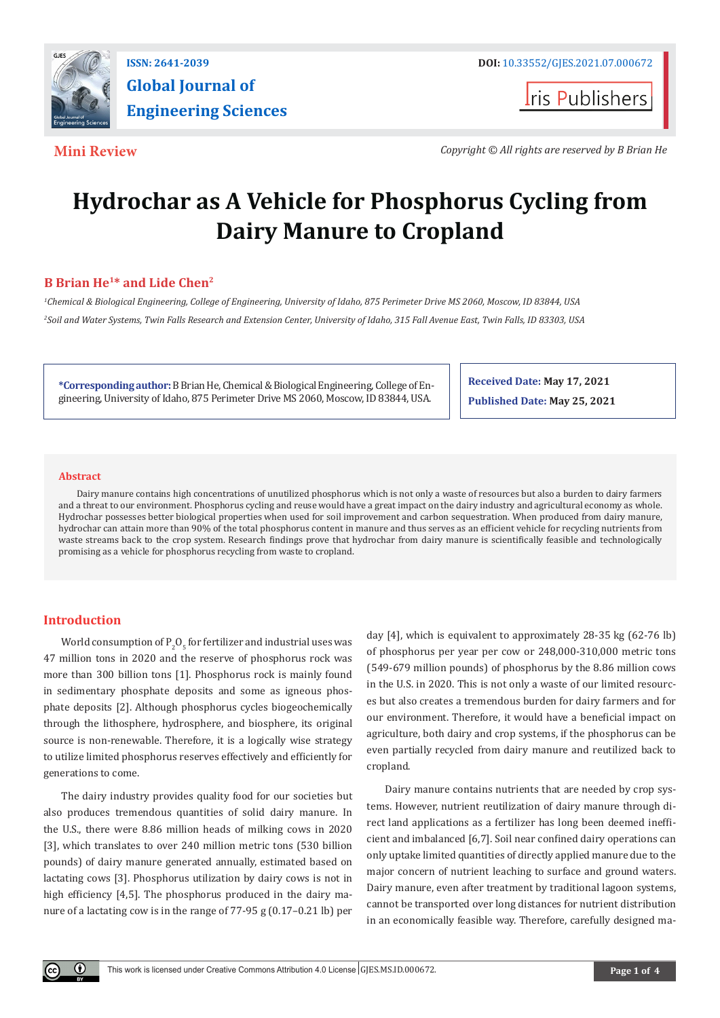

**Iris Publishers** 

**Mini Review** *Copyright © All rights are reserved by B Brian He*

# **Hydrochar as A Vehicle for Phosphorus Cycling from Dairy Manure to Cropland**

## **B Brian He1\* and Lide Chen2**

*1 Chemical & Biological Engineering, College of Engineering, University of Idaho, 875 Perimeter Drive MS 2060, Moscow, ID 83844, USA 2 Soil and Water Systems, Twin Falls Research and Extension Center, University of Idaho, 315 Fall Avenue East, Twin Falls, ID 83303, USA*

**\*Corresponding author:** B Brian He, Chemical & Biological Engineering, College of Engineering, University of Idaho, 875 Perimeter Drive MS 2060, Moscow, ID 83844, USA.

**Received Date: May 17, 2021**

**Published Date: May 25, 2021**

#### **Abstract**

Dairy manure contains high concentrations of unutilized phosphorus which is not only a waste of resources but also a burden to dairy farmers and a threat to our environment. Phosphorus cycling and reuse would have a great impact on the dairy industry and agricultural economy as whole. Hydrochar possesses better biological properties when used for soil improvement and carbon sequestration. When produced from dairy manure, hydrochar can attain more than 90% of the total phosphorus content in manure and thus serves as an efficient vehicle for recycling nutrients from waste streams back to the crop system. Research findings prove that hydrochar from dairy manure is scientifically feasible and technologically promising as a vehicle for phosphorus recycling from waste to cropland.

### **Introduction**

World consumption of  $P_2O_5$  for fertilizer and industrial uses was 47 million tons in 2020 and the reserve of phosphorus rock was more than 300 billion tons [1]. Phosphorus rock is mainly found in sedimentary phosphate deposits and some as igneous phosphate deposits [2]. Although phosphorus cycles biogeochemically through the lithosphere, hydrosphere, and biosphere, its original source is non-renewable. Therefore, it is a logically wise strategy to utilize limited phosphorus reserves effectively and efficiently for generations to come.

The dairy industry provides quality food for our societies but also produces tremendous quantities of solid dairy manure. In the U.S., there were 8.86 million heads of milking cows in 2020 [3], which translates to over 240 million metric tons (530 billion pounds) of dairy manure generated annually, estimated based on lactating cows [3]. Phosphorus utilization by dairy cows is not in high efficiency [4,5]. The phosphorus produced in the dairy manure of a lactating cow is in the range of 77-95 g (0.17–0.21 lb) per

day [4], which is equivalent to approximately 28-35 kg (62-76 lb) of phosphorus per year per cow or 248,000-310,000 metric tons (549-679 million pounds) of phosphorus by the 8.86 million cows in the U.S. in 2020. This is not only a waste of our limited resources but also creates a tremendous burden for dairy farmers and for our environment. Therefore, it would have a beneficial impact on agriculture, both dairy and crop systems, if the phosphorus can be even partially recycled from dairy manure and reutilized back to cropland.

Dairy manure contains nutrients that are needed by crop systems. However, nutrient reutilization of dairy manure through direct land applications as a fertilizer has long been deemed inefficient and imbalanced [6,7]. Soil near confined dairy operations can only uptake limited quantities of directly applied manure due to the major concern of nutrient leaching to surface and ground waters. Dairy manure, even after treatment by traditional lagoon systems, cannot be transported over long distances for nutrient distribution in an economically feasible way. Therefore, carefully designed ma-

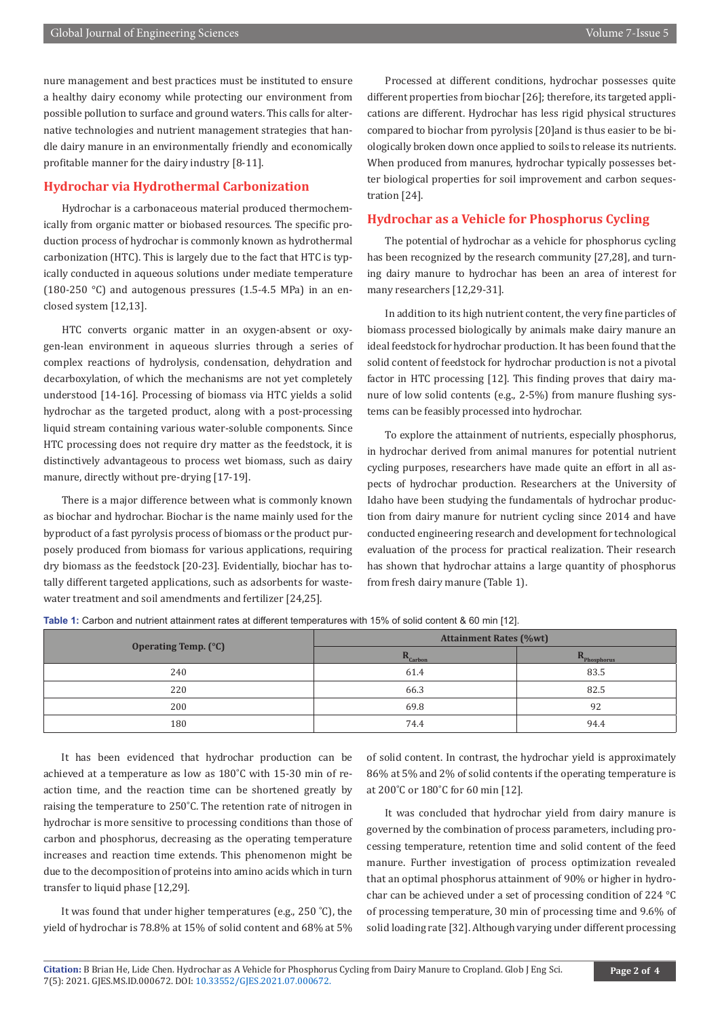nure management and best practices must be instituted to ensure a healthy dairy economy while protecting our environment from possible pollution to surface and ground waters. This calls for alternative technologies and nutrient management strategies that handle dairy manure in an environmentally friendly and economically profitable manner for the dairy industry [8-11].

#### **Hydrochar via Hydrothermal Carbonization**

Hydrochar is a carbonaceous material produced thermochemically from organic matter or biobased resources. The specific production process of hydrochar is commonly known as hydrothermal carbonization (HTC). This is largely due to the fact that HTC is typically conducted in aqueous solutions under mediate temperature (180-250 °C) and autogenous pressures (1.5-4.5 MPa) in an enclosed system [12,13].

HTC converts organic matter in an oxygen-absent or oxygen-lean environment in aqueous slurries through a series of complex reactions of hydrolysis, condensation, dehydration and decarboxylation, of which the mechanisms are not yet completely understood [14-16]. Processing of biomass via HTC yields a solid hydrochar as the targeted product, along with a post-processing liquid stream containing various water-soluble components. Since HTC processing does not require dry matter as the feedstock, it is distinctively advantageous to process wet biomass, such as dairy manure, directly without pre-drying [17-19].

There is a major difference between what is commonly known as biochar and hydrochar. Biochar is the name mainly used for the byproduct of a fast pyrolysis process of biomass or the product purposely produced from biomass for various applications, requiring dry biomass as the feedstock [20-23]. Evidentially, biochar has totally different targeted applications, such as adsorbents for wastewater treatment and soil amendments and fertilizer [24,25].

Processed at different conditions, hydrochar possesses quite different properties from biochar [26]; therefore, its targeted applications are different. Hydrochar has less rigid physical structures compared to biochar from pyrolysis [20]and is thus easier to be biologically broken down once applied to soils to release its nutrients. When produced from manures, hydrochar typically possesses better biological properties for soil improvement and carbon sequestration [24].

#### **Hydrochar as a Vehicle for Phosphorus Cycling**

The potential of hydrochar as a vehicle for phosphorus cycling has been recognized by the research community [27,28], and turning dairy manure to hydrochar has been an area of interest for many researchers [12,29-31].

In addition to its high nutrient content, the very fine particles of biomass processed biologically by animals make dairy manure an ideal feedstock for hydrochar production. It has been found that the solid content of feedstock for hydrochar production is not a pivotal factor in HTC processing [12]. This finding proves that dairy manure of low solid contents (e.g., 2-5%) from manure flushing systems can be feasibly processed into hydrochar.

To explore the attainment of nutrients, especially phosphorus, in hydrochar derived from animal manures for potential nutrient cycling purposes, researchers have made quite an effort in all aspects of hydrochar production. Researchers at the University of Idaho have been studying the fundamentals of hydrochar production from dairy manure for nutrient cycling since 2014 and have conducted engineering research and development for technological evaluation of the process for practical realization. Their research has shown that hydrochar attains a large quantity of phosphorus from fresh dairy manure (Table 1).

**Table 1:** Carbon and nutrient attainment rates at different temperatures with 15% of solid content & 60 min [12].

| Operating Temp. (°C) | <b>Attainment Rates (%wt)</b> |                         |
|----------------------|-------------------------------|-------------------------|
|                      | $R_{\text{Carbon}}$           | $R_{\text{Phosphorus}}$ |
| 240                  | 61.4                          | 83.5                    |
| 220                  | 66.3                          | 82.5                    |
| 200                  | 69.8                          | 92                      |
| 180                  | 74.4                          | 94.4                    |

It has been evidenced that hydrochar production can be achieved at a temperature as low as 180˚C with 15-30 min of reaction time, and the reaction time can be shortened greatly by raising the temperature to 250˚C. The retention rate of nitrogen in hydrochar is more sensitive to processing conditions than those of carbon and phosphorus, decreasing as the operating temperature increases and reaction time extends. This phenomenon might be due to the decomposition of proteins into amino acids which in turn transfer to liquid phase [12,29].

It was found that under higher temperatures (e.g., 250 ˚C), the yield of hydrochar is 78.8% at 15% of solid content and 68% at 5% of solid content. In contrast, the hydrochar yield is approximately 86% at 5% and 2% of solid contents if the operating temperature is at 200˚C or 180˚C for 60 min [12].

It was concluded that hydrochar yield from dairy manure is governed by the combination of process parameters, including processing temperature, retention time and solid content of the feed manure. Further investigation of process optimization revealed that an optimal phosphorus attainment of 90% or higher in hydrochar can be achieved under a set of processing condition of 224 °C of processing temperature, 30 min of processing time and 9.6% of solid loading rate [32]. Although varying under different processing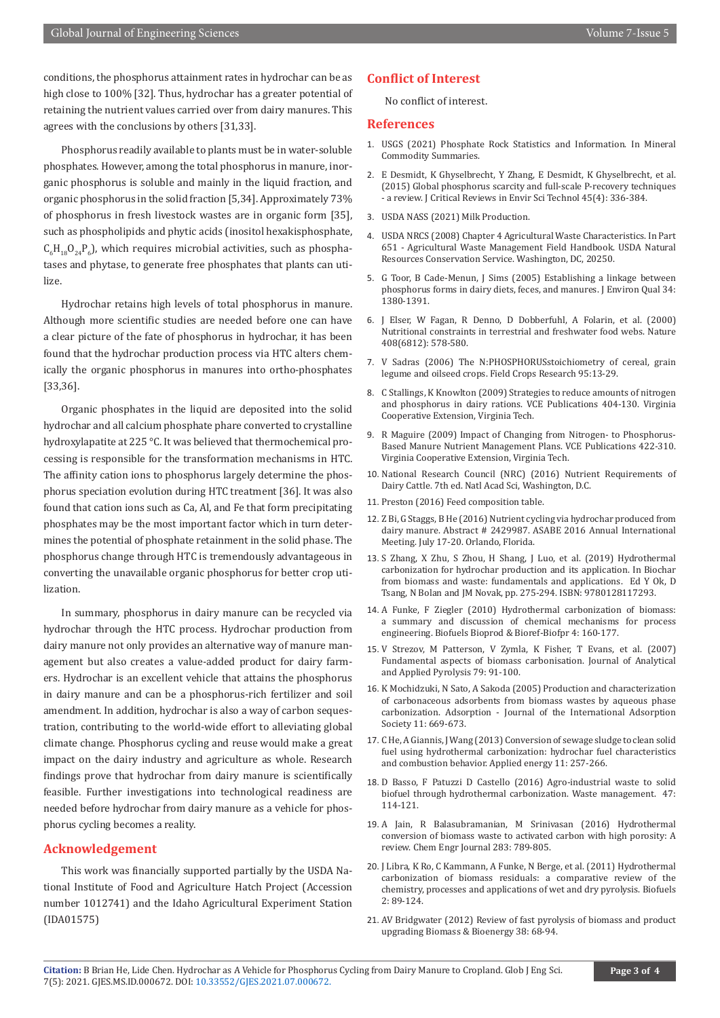conditions, the phosphorus attainment rates in hydrochar can be as high close to 100% [32]. Thus, hydrochar has a greater potential of retaining the nutrient values carried over from dairy manures. This agrees with the conclusions by others [31,33].

Phosphorus readily available to plants must be in water-soluble phosphates. However, among the total phosphorus in manure, inorganic phosphorus is soluble and mainly in the liquid fraction, and organic phosphorus in the solid fraction [5,34]. Approximately 73% of phosphorus in fresh livestock wastes are in organic form [35], such as phospholipids and phytic acids (inositol hexakisphosphate,  $C_6H_{18}O_{24}P_6$ ), which requires microbial activities, such as phosphatases and phytase, to generate free phosphates that plants can utilize.

Hydrochar retains high levels of total phosphorus in manure. Although more scientific studies are needed before one can have a clear picture of the fate of phosphorus in hydrochar, it has been found that the hydrochar production process via HTC alters chemically the organic phosphorus in manures into ortho-phosphates [33,36].

Organic phosphates in the liquid are deposited into the solid hydrochar and all calcium phosphate phare converted to crystalline hydroxylapatite at 225 °C. It was believed that thermochemical processing is responsible for the transformation mechanisms in HTC. The affinity cation ions to phosphorus largely determine the phosphorus speciation evolution during HTC treatment [36]. It was also found that cation ions such as Ca, Al, and Fe that form precipitating phosphates may be the most important factor which in turn determines the potential of phosphate retainment in the solid phase. The phosphorus change through HTC is tremendously advantageous in converting the unavailable organic phosphorus for better crop utilization.

In summary, phosphorus in dairy manure can be recycled via hydrochar through the HTC process. Hydrochar production from dairy manure not only provides an alternative way of manure management but also creates a value-added product for dairy farmers. Hydrochar is an excellent vehicle that attains the phosphorus in dairy manure and can be a phosphorus-rich fertilizer and soil amendment. In addition, hydrochar is also a way of carbon sequestration, contributing to the world-wide effort to alleviating global climate change. Phosphorus cycling and reuse would make a great impact on the dairy industry and agriculture as whole. Research findings prove that hydrochar from dairy manure is scientifically feasible. Further investigations into technological readiness are needed before hydrochar from dairy manure as a vehicle for phosphorus cycling becomes a reality.

#### **Acknowledgement**

This work was financially supported partially by the USDA National Institute of Food and Agriculture Hatch Project (Accession number 1012741) and the Idaho Agricultural Experiment Station (IDA01575)

#### **Conflict of Interest**

No conflict of interest.

#### **References**

- 1. [USGS \(2021\) Phosphate Rock Statistics and Information. In Mineral](https://www.usgs.gov/centers/nmic/phosphate-rock-statistics-and-information) [Commodity Summaries.](https://www.usgs.gov/centers/nmic/phosphate-rock-statistics-and-information)
- 2. [E Desmidt, K Ghyselbrecht, Y Zhang, E Desmidt, K Ghyselbrecht, et al.](https://www.tandfonline.com/doi/abs/10.1080/10643389.2013.866531) [\(2015\) Global phosphorus scarcity and full-scale P-recovery techniques](https://www.tandfonline.com/doi/abs/10.1080/10643389.2013.866531) [- a review. J Critical Reviews in Envir Sci Technol 45\(4\): 336-384.](https://www.tandfonline.com/doi/abs/10.1080/10643389.2013.866531)
- 3. USDA NASS (2021) Milk Production.
- 4. USDA NRCS (2008) Chapter 4 Agricultural Waste Characteristics. In Part 651 - Agricultural Waste Management Field Handbook. USDA Natural Resources Conservation Service. Washington, DC, 20250.
- 5. [G Toor, B Cade-Menun, J Sims \(2005\) Establishing a linkage between](https://pubmed.ncbi.nlm.nih.gov/15998861/) [phosphorus forms in dairy diets, feces, and manures. J Environ Qual 34:](https://pubmed.ncbi.nlm.nih.gov/15998861/) [1380-1391.](https://pubmed.ncbi.nlm.nih.gov/15998861/)
- 6. [J Elser, W Fagan, R Denno, D Dobberfuhl, A Folarin, et al. \(2000\)](https://pubmed.ncbi.nlm.nih.gov/11117743/) [Nutritional constraints in terrestrial and freshwater food webs. Nature](https://pubmed.ncbi.nlm.nih.gov/11117743/) [408\(6812\): 578-580.](https://pubmed.ncbi.nlm.nih.gov/11117743/)
- 7. [V Sadras \(2006\) The N:PHOSPHORUSstoichiometry of cereal, grain](https://www.sciencedirect.com/science/article/abs/pii/S0378429005000444) [legume and oilseed crops. Field Crops Research 95:13-29.](https://www.sciencedirect.com/science/article/abs/pii/S0378429005000444)
- 8. C Stallings, K Knowlton (2009) Strategies to reduce amounts of nitrogen and phosphorus in dairy rations. VCE Publications 404-130. Virginia Cooperative Extension, Virginia Tech.
- 9. R Maguire (2009) Impact of Changing from Nitrogen- to Phosphorus-Based Manure Nutrient Management Plans. VCE Publications 422-310. Virginia Cooperative Extension, Virginia Tech.
- 10. National Research Council (NRC) (2016) Nutrient Requirements of Dairy Cattle. 7th ed. Natl Acad Sci, Washington, D.C.
- 11. [Preston \(2016\) Feed composition table.](https://www.beefmagazine.com/)
- 12. Z Bi, G Staggs, B He (2016) Nutrient cycling via hydrochar produced from dairy manure. Abstract # 2429987. ASABE 2016 Annual International Meeting. July 17-20. Orlando, Florida.
- 13. [S Zhang, X Zhu, S Zhou, H Shang, J Luo, et al. \(2019\) Hydrothermal](https://www.sciencedirect.com/science/article/pii/B9780128117293000157) [carbonization for hydrochar production and its application. In Biochar](https://www.sciencedirect.com/science/article/pii/B9780128117293000157) [from biomass and waste: fundamentals and applications. Ed Y Ok, D](https://www.sciencedirect.com/science/article/pii/B9780128117293000157) [Tsang, N Bolan and JM Novak, pp. 275-294. ISBN: 9780128117293.](https://www.sciencedirect.com/science/article/pii/B9780128117293000157)
- 14. [A Funke, F Ziegler \(2010\) Hydrothermal carbonization of biomass:](https://onlinelibrary.wiley.com/doi/abs/10.1002/bbb.198) [a summary and discussion of chemical mechanisms for process](https://onlinelibrary.wiley.com/doi/abs/10.1002/bbb.198) [engineering. Biofuels Bioprod & Bioref-Biofpr 4: 160-177.](https://onlinelibrary.wiley.com/doi/abs/10.1002/bbb.198)
- 15. [V Strezov, M Patterson, V Zymla, K Fisher, T Evans, et al. \(2007\)](https://www.sciencedirect.com/science/article/abs/pii/S0165237006001422) [Fundamental aspects of biomass carbonisation. Journal of Analytical](https://www.sciencedirect.com/science/article/abs/pii/S0165237006001422) [and Applied Pyrolysis 79: 91-100.](https://www.sciencedirect.com/science/article/abs/pii/S0165237006001422)
- 16. K Mochidzuki, N Sato, A Sakoda (2005) Production and characterization of carbonaceous adsorbents from biomass wastes by aqueous phase carbonization. Adsorption - Journal of the International Adsorption Society 11: 669-673.
- 17. [C He, A Giannis, J Wang \(2013\) Conversion of sewage sludge to clean solid](https://www.sciencedirect.com/science/article/abs/pii/S0306261913003887) [fuel using hydrothermal carbonization: hydrochar fuel characteristics](https://www.sciencedirect.com/science/article/abs/pii/S0306261913003887) [and combustion behavior. Applied energy 11: 257-266.](https://www.sciencedirect.com/science/article/abs/pii/S0306261913003887)
- 18. [D Basso, F Patuzzi D Castello \(2016\) Agro-industrial waste to solid](https://www.sciencedirect.com/science/article/abs/pii/S0956053X15003645) [biofuel through hydrothermal carbonization. Waste management. 47:](https://www.sciencedirect.com/science/article/abs/pii/S0956053X15003645) [114-121.](https://www.sciencedirect.com/science/article/abs/pii/S0956053X15003645)
- 19. [A Jain, R Balasubramanian, M Srinivasan \(2016\) Hydrothermal](https://www.sciencedirect.com/science/article/abs/pii/S1385894715010840) [conversion of biomass waste to activated carbon with high porosity: A](https://www.sciencedirect.com/science/article/abs/pii/S1385894715010840) [review. Chem Engr Journal 283: 789-805.](https://www.sciencedirect.com/science/article/abs/pii/S1385894715010840)
- 20. [J Libra, K Ro, C Kammann, A Funke, N Berge, et al. \(2011\) Hydrothermal](https://www.tandfonline.com/doi/abs/10.4155/bfs.10.81?journalCode=tbfu20) [carbonization of biomass residuals: a comparative review of the](https://www.tandfonline.com/doi/abs/10.4155/bfs.10.81?journalCode=tbfu20) [chemistry, processes and applications of wet and dry pyrolysis. Biofuels](https://www.tandfonline.com/doi/abs/10.4155/bfs.10.81?journalCode=tbfu20) [2: 89-124.](https://www.tandfonline.com/doi/abs/10.4155/bfs.10.81?journalCode=tbfu20)
- 21. [AV Bridgwater \(2012\) Review of fast pyrolysis of biomass and product](https://www.sciencedirect.com/science/article/abs/pii/S0961953411000638) [upgrading Biomass & Bioenergy 38: 68-94.](https://www.sciencedirect.com/science/article/abs/pii/S0961953411000638)